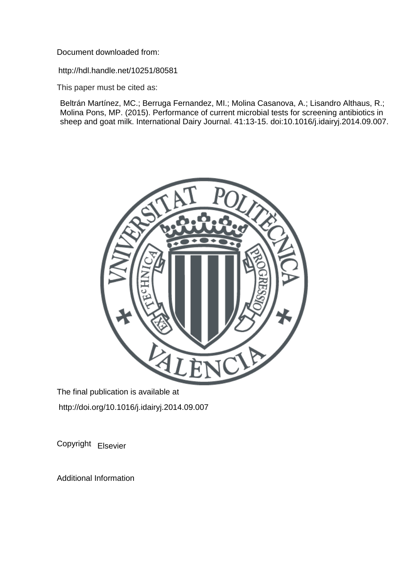Document downloaded from:

http://hdl.handle.net/10251/80581

This paper must be cited as:

Beltrán Martínez, MC.; Berruga Fernandez, MI.; Molina Casanova, A.; Lisandro Althaus, R.; Molina Pons, MP. (2015). Performance of current microbial tests for screening antibiotics in sheep and goat milk. International Dairy Journal. 41:13-15. doi:10.1016/j.idairyj.2014.09.007.



The final publication is available at http://doi.org/10.1016/j.idairyj.2014.09.007

Copyright Elsevier

Additional Information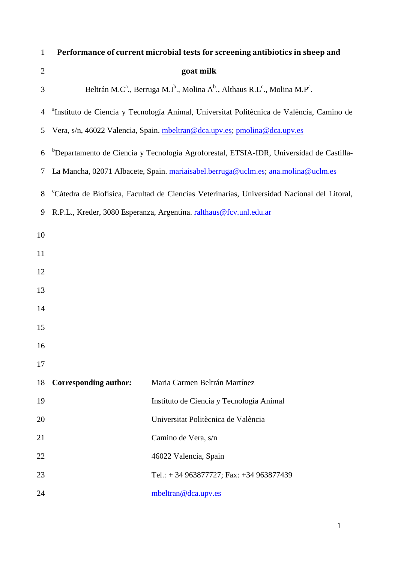| 1              | Performance of current microbial tests for screening antibiotics in sheep and                                                          |                                          |  |  |  |  |  |  |
|----------------|----------------------------------------------------------------------------------------------------------------------------------------|------------------------------------------|--|--|--|--|--|--|
| $\overline{2}$ | goat milk                                                                                                                              |                                          |  |  |  |  |  |  |
| 3              | Beltrán M.C <sup>a</sup> ., Berruga M.I <sup>b</sup> ., Molina A <sup>b</sup> ., Althaus R.L <sup>c</sup> ., Molina M.P <sup>a</sup> . |                                          |  |  |  |  |  |  |
| 4              | <sup>a</sup> Instituto de Ciencia y Tecnología Animal, Universitat Politècnica de València, Camino de                                  |                                          |  |  |  |  |  |  |
| 5              | Vera, s/n, 46022 Valencia, Spain. mbeltran@dca.upv.es; pmolina@dca.upv.es                                                              |                                          |  |  |  |  |  |  |
| 6              | <sup>b</sup> Departamento de Ciencia y Tecnología Agroforestal, ETSIA-IDR, Universidad de Castilla-                                    |                                          |  |  |  |  |  |  |
| 7              | La Mancha, 02071 Albacete, Spain. mariaisabel.berruga@uclm.es; ana.molina@uclm.es                                                      |                                          |  |  |  |  |  |  |
| 8              | <sup>c</sup> Cátedra de Biofísica, Facultad de Ciencias Veterinarias, Universidad Nacional del Litoral,                                |                                          |  |  |  |  |  |  |
| 9              | R.P.L., Kreder, 3080 Esperanza, Argentina. ralthaus@fcv.unl.edu.ar                                                                     |                                          |  |  |  |  |  |  |
| 10             |                                                                                                                                        |                                          |  |  |  |  |  |  |
| 11             |                                                                                                                                        |                                          |  |  |  |  |  |  |
| 12             |                                                                                                                                        |                                          |  |  |  |  |  |  |
| 13             |                                                                                                                                        |                                          |  |  |  |  |  |  |
| 14             |                                                                                                                                        |                                          |  |  |  |  |  |  |
| 15             |                                                                                                                                        |                                          |  |  |  |  |  |  |
| 16             |                                                                                                                                        |                                          |  |  |  |  |  |  |
| 17             |                                                                                                                                        |                                          |  |  |  |  |  |  |
| 18             | <b>Corresponding author:</b>                                                                                                           | Maria Carmen Beltrán Martínez            |  |  |  |  |  |  |
| 19             |                                                                                                                                        | Instituto de Ciencia y Tecnología Animal |  |  |  |  |  |  |
| 20             |                                                                                                                                        | Universitat Politècnica de València      |  |  |  |  |  |  |
| 21             |                                                                                                                                        | Camino de Vera, s/n                      |  |  |  |  |  |  |
| 22             |                                                                                                                                        | 46022 Valencia, Spain                    |  |  |  |  |  |  |
| 23             |                                                                                                                                        | Tel.: +34 963877727; Fax: +34 963877439  |  |  |  |  |  |  |
| 24             |                                                                                                                                        | mbeltran@dca.upv.es                      |  |  |  |  |  |  |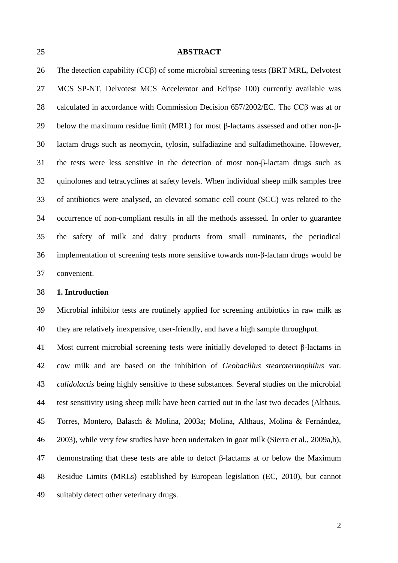### **ABSTRACT**

 The detection capability (CCβ) of some microbial screening tests (BRT MRL, Delvotest MCS SP-NT, Delvotest MCS Accelerator and Eclipse 100) currently available was calculated in accordance with Commission Decision 657/2002/EC. The CCβ was at or below the maximum residue limit (MRL) for most β-lactams assessed and other non-β- lactam drugs such as neomycin, tylosin, sulfadiazine and sulfadimethoxine. However, the tests were less sensitive in the detection of most non-β-lactam drugs such as quinolones and tetracyclines at safety levels. When individual sheep milk samples free of antibiotics were analysed, an elevated somatic cell count (SCC) was related to the occurrence of non-compliant results in all the methods assessed. In order to guarantee the safety of milk and dairy products from small ruminants, the periodical implementation of screening tests more sensitive towards non-β-lactam drugs would be

convenient.

### **1. Introduction**

 Microbial inhibitor tests are routinely applied for screening antibiotics in raw milk as they are relatively inexpensive, user-friendly, and have a high sample throughput.

 Most current microbial screening tests were initially developed to detect β-lactams in cow milk and are based on the inhibition of *Geobacillus stearotermophilus* var. *calidolactis* being highly sensitive to these substances. Several studies on the microbial test sensitivity using sheep milk have been carried out in the last two decades (Althaus, Torres, Montero, Balasch & Molina, 2003a; Molina, Althaus, Molina & Fernández, 2003), while very few studies have been undertaken in goat milk (Sierra et al., 2009a,b), demonstrating that these tests are able to detect β-lactams at or below the Maximum Residue Limits (MRLs) established by European legislation (EC, 2010), but cannot suitably detect other veterinary drugs.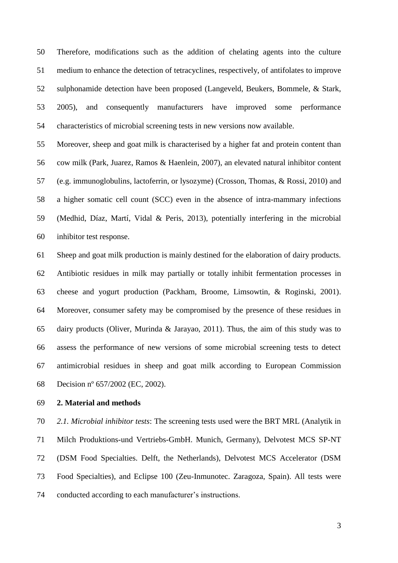Therefore, modifications such as the addition of chelating agents into the culture medium to enhance the detection of tetracyclines, respectively, of antifolates to improve sulphonamide detection have been proposed (Langeveld, Beukers, Bommele, & Stark, 2005), and consequently manufacturers have improved some performance characteristics of microbial screening tests in new versions now available.

 Moreover, sheep and goat milk is characterised by a higher fat and protein content than cow milk (Park, Juarez, Ramos & Haenlein, 2007), an elevated natural inhibitor content (e.g. immunoglobulins, lactoferrin, or lysozyme) (Crosson, Thomas, & Rossi, 2010) and a higher somatic cell count (SCC) even in the absence of intra-mammary infections (Medhid, Díaz, Martí, Vidal & Peris, 2013), potentially interfering in the microbial inhibitor test response.

 Sheep and goat milk production is mainly destined for the elaboration of dairy products. Antibiotic residues in milk may partially or totally inhibit fermentation processes in cheese and yogurt production (Packham, Broome, Limsowtin, & Roginski, 2001). Moreover, consumer safety may be compromised by the presence of these residues in dairy products (Oliver, Murinda & Jarayao, 2011). Thus, the aim of this study was to assess the performance of new versions of some microbial screening tests to detect antimicrobial residues in sheep and goat milk according to European Commission Decision nº 657/2002 (EC, 2002).

**2. Material and methods**

 *2.1. Microbial inhibitor tests*: The screening tests used were the BRT MRL (Analytik in Milch Produktions-und Vertriebs-GmbH. Munich, Germany), Delvotest MCS SP-NT (DSM Food Specialties. Delft, the Netherlands), Delvotest MCS Accelerator (DSM Food Specialties), and Eclipse 100 (Zeu-Inmunotec. Zaragoza, Spain). All tests were conducted according to each manufacturer's instructions.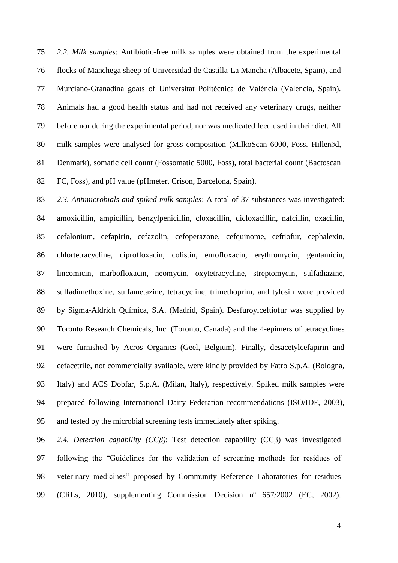*2.2. Milk samples*: Antibiotic-free milk samples were obtained from the experimental flocks of Manchega sheep of Universidad de Castilla-La Mancha (Albacete, Spain), and Murciano-Granadina goats of Universitat Politècnica de València (Valencia, Spain). Animals had a good health status and had not received any veterinary drugs, neither before nor during the experimental period, nor was medicated feed used in their diet. All 80 milk samples were analysed for gross composition (MilkoScan , Foss. Hiller $\oslash$ d, Denmark), somatic cell count (Fossomatic 5000, Foss), total bacterial count (Bactoscan FC, Foss), and pH value (pHmeter, Crison, Barcelona, Spain).

 *2.3. Antimicrobials and spiked milk samples*: A total of 37 substances was investigated: amoxicillin, ampicillin, benzylpenicillin, cloxacillin, dicloxacillin, nafcillin, oxacillin, cefalonium, cefapirin, cefazolin, cefoperazone, cefquinome, ceftiofur, cephalexin, chlortetracycline, ciprofloxacin, colistin, enrofloxacin, erythromycin, gentamicin, lincomicin, marbofloxacin, neomycin, oxytetracycline, streptomycin, sulfadiazine, sulfadimethoxine, sulfametazine, tetracycline, trimethoprim, and tylosin were provided by Sigma-Aldrich Química, S.A. (Madrid, Spain). Desfuroylceftiofur was supplied by Toronto Research Chemicals, Inc. (Toronto, Canada) and the 4-epimers of tetracyclines were furnished by Acros Organics (Geel, Belgium). Finally, desacetylcefapirin and cefacetrile, not commercially available, were kindly provided by Fatro S.p.A. (Bologna, Italy) and ACS Dobfar, S.p.A. (Milan, Italy), respectively. Spiked milk samples were prepared following International Dairy Federation recommendations (ISO/IDF, 2003), and tested by the microbial screening tests immediately after spiking.

 *2.4. Detection capability (CCβ)*: Test detection capability (CCβ) was investigated following the "Guidelines for the validation of screening methods for residues of veterinary medicines" proposed by Community Reference Laboratories for residues (CRLs, 2010), supplementing Commission Decision nº 657/2002 (EC, 2002).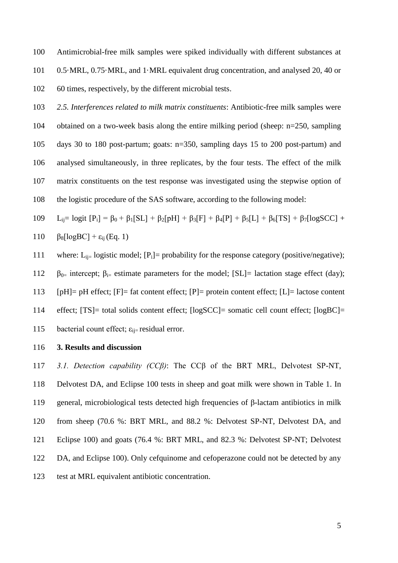Antimicrobial-free milk samples were spiked individually with different substances at 0.5·MRL, 0.75·MRL, and 1·MRL equivalent drug concentration, and analysed 20, 40 or 60 times, respectively, by the different microbial tests.

 *2.5. Interferences related to milk matrix constituents*: Antibiotic-free milk samples were obtained on a two-week basis along the entire milking period (sheep: n=250, sampling days 30 to 180 post-partum; goats: n=350, sampling days 15 to 200 post-partum) and analysed simultaneously, in three replicates, by the four tests. The effect of the milk matrix constituents on the test response was investigated using the stepwise option of the logistic procedure of the SAS software, according to the following model:

109 L<sub>ij</sub>= logit  $[P_i] = \beta_0 + \beta_1[S_L] + \beta_2[{\rm pH}] + \beta_3[F] + \beta_4[P] + \beta_5[L] + \beta_6[TS] + \beta_7[logSCC] +$ 110  $\beta_8[\text{logBC}] + \varepsilon_{ii}(\text{Eq. 1})$ 

111 where:  $L_{ii}$  logistic model;  $[P_i]$  probability for the response category (positive/negative);

112  $\beta_{0}$ = intercept;  $\beta_{i}$ = estimate parameters for the model; [SL]= lactation stage effect (day);

113  $[pH]= pH$  effect;  $[F]= fat$  content effect;  $[P]=$  protein content effect;  $[L]=$  lactose content

effect; [TS]= total solids content effect; [logSCC]= somatic cell count effect; [logBC]=

115 bacterial count effect;  $\varepsilon_{ii}$ = residual error.

## **3. Results and discussion**

 *3.1. Detection capability (CCβ)*: The CCβ of the BRT MRL, Delvotest SP-NT, Delvotest DA, and Eclipse 100 tests in sheep and goat milk were shown in Table 1. In general, microbiological tests detected high frequencies of β-lactam antibiotics in milk from sheep (70.6 %: BRT MRL, and 88.2 %: Delvotest SP-NT, Delvotest DA, and Eclipse 100) and goats (76.4 %: BRT MRL, and 82.3 %: Delvotest SP-NT; Delvotest 122 DA, and Eclipse 100). Only cefquinome and cefoperazone could not be detected by any test at MRL equivalent antibiotic concentration.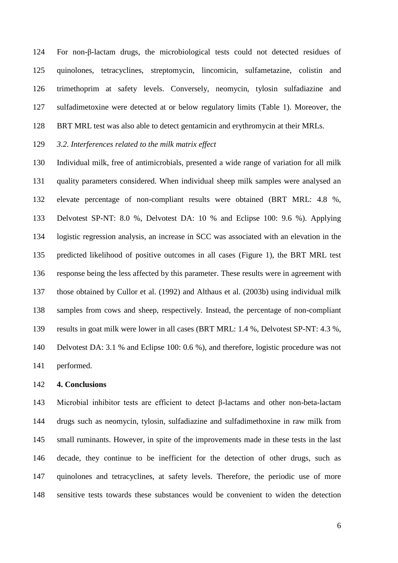For non-β-lactam drugs, the microbiological tests could not detected residues of quinolones, tetracyclines, streptomycin, lincomicin, sulfametazine, colistin and trimethoprim at safety levels. Conversely, neomycin, tylosin sulfadiazine and sulfadimetoxine were detected at or below regulatory limits (Table 1). Moreover, the BRT MRL test was also able to detect gentamicin and erythromycin at their MRLs.

# *3.2. Interferences related to the milk matrix effect*

 Individual milk, free of antimicrobials, presented a wide range of variation for all milk quality parameters considered. When individual sheep milk samples were analysed an elevate percentage of non-compliant results were obtained (BRT MRL: 4.8 %, Delvotest SP-NT: 8.0 %, Delvotest DA: 10 % and Eclipse 100: 9.6 %). Applying logistic regression analysis, an increase in SCC was associated with an elevation in the predicted likelihood of positive outcomes in all cases (Figure 1), the BRT MRL test response being the less affected by this parameter. These results were in agreement with those obtained by Cullor et al. (1992) and Althaus et al. (2003b) using individual milk samples from cows and sheep, respectively. Instead, the percentage of non-compliant results in goat milk were lower in all cases (BRT MRL: 1.4 %, Delvotest SP-NT: 4.3 %, Delvotest DA: 3.1 % and Eclipse 100: 0.6 %), and therefore, logistic procedure was not performed.

## **4. Conclusions**

 Microbial inhibitor tests are efficient to detect β-lactams and other non-beta-lactam drugs such as neomycin, tylosin, sulfadiazine and sulfadimethoxine in raw milk from small ruminants. However, in spite of the improvements made in these tests in the last decade, they continue to be inefficient for the detection of other drugs, such as quinolones and tetracyclines, at safety levels. Therefore, the periodic use of more sensitive tests towards these substances would be convenient to widen the detection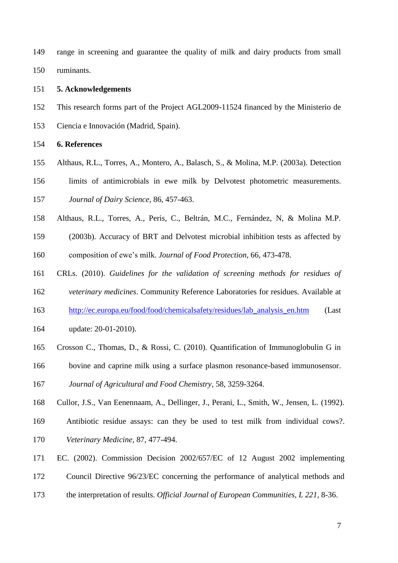range in screening and guarantee the quality of milk and dairy products from small ruminants.

#### **5. Acknowledgements**

- This research forms part of the Project AGL2009-11524 financed by the Ministerio de
- Ciencia e Innovación (Madrid, Spain).

**6. References**

Althaus, R.L., Torres, A., Montero, A., Balasch, S., & Molina, M.P. (2003a). Detection

 limits of antimicrobials in ewe milk by Delvotest photometric measurements. *Journal of Dairy Science*, 86, 457-463.

- Althaus, R.L., Torres, A., Peris, C., Beltrán, M.C., Fernández, N, & Molina M.P.
- (2003b). Accuracy of BRT and Delvotest microbial inhibition tests as affected by
- composition of ewe's milk. *Journal of Food Protection*, 66, 473-478.
- CRLs. (2010). *Guidelines for the validation of screening methods for residues of*
- *veterinary medicines*. Community Reference Laboratories for residues. Available at
- [http://ec.europa.eu/food/food/chemicalsafety/residues/lab\\_analysis\\_en.htm](http://ec.europa.eu/food/food/chemicalsafety/residues/lab_analysis_en.htm) (Last
- update: 20-01-2010).
- Crosson C., Thomas, D., & Rossi, C. (2010). Quantification of Immunoglobulin G in
- bovine and caprine milk using a surface plasmon resonance-based immunosensor.

*Journal of Agricultural and Food Chemistry*, 58, 3259-3264.

- Cullor, J.S., Van Eenennaam, A., Dellinger, J., Perani, L., Smith, W., Jensen, L. (1992).
- Antibiotic residue assays: can they be used to test milk from individual cows?.
- *Veterinary Medicine,* 87, 477-494.
- EC. (2002). Commission Decision 2002/657/EC of 12 August 2002 implementing
- Council Directive 96/23/EC concerning the performance of analytical methods and
- the interpretation of results. *Official Journal of European Communities, L 221,* 8-36.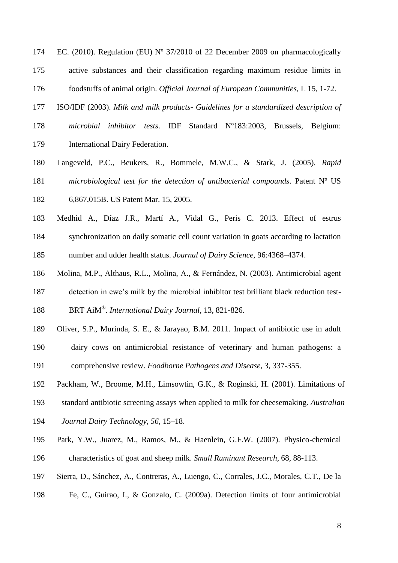- EC. (2010). Regulation (EU) Nº 37/2010 of 22 December 2009 on pharmacologically active substances and their classification regarding maximum residue limits in foodstuffs of animal origin. *Official Journal of European Communities,* L 15, 1-72.
- ISO/IDF (2003). *Milk and milk products- Guidelines for a standardized description of*
- *microbial inhibitor tests*. IDF Standard Nº183:2003, Brussels, Belgium: International Dairy Federation.
- Langeveld, P.C., Beukers, R., Bommele, M.W.C., & Stark, J. (2005). *Rapid microbiological test for the detection of antibacterial compounds*. Patent Nº US 6,867,015B. US Patent Mar. 15, 2005.
- Medhid A., Díaz J.R., Martí A., Vidal G., Peris C. 2013. Effect of estrus synchronization on daily somatic cell count variation in goats according to lactation

number and udder health status. *Journal of Dairy Science*, 96:4368–4374.

- Molina, M.P., Althaus, R.L., Molina, A., & Fernández, N. (2003). Antimicrobial agent detection in ewe's milk by the microbial inhibitor test brilliant black reduction test-BRT AiM® . *International Dairy Journal*, 13, 821-826.
- Oliver, S.P., Murinda, S. E., & Jarayao, B.M. 2011. Impact of antibiotic use in adult
- dairy cows on antimicrobial resistance of veterinary and human pathogens: a
- comprehensive review. *Foodborne Pathogens and Disease,* 3, 337-355.
- Packham, W., Broome, M.H., Limsowtin, G.K., & Roginski, H. (2001). Limitations of
- standard antibiotic screening assays when applied to milk for cheesemaking. *Australian*
- *Journal Dairy Technology, 56,* 15–18.
- Park, Y.W., Juarez, M., Ramos, M., & Haenlein, G.F.W. (2007). Physico-chemical characteristics of goat and sheep milk. *Small Ruminant Research*, 68, 88-113.
- Sierra, D., Sánchez, A., Contreras, A., Luengo, C., Corrales, J.C., Morales, C.T., De la
- Fe, C., Guirao, I., & Gonzalo, C. (2009a). Detection limits of four antimicrobial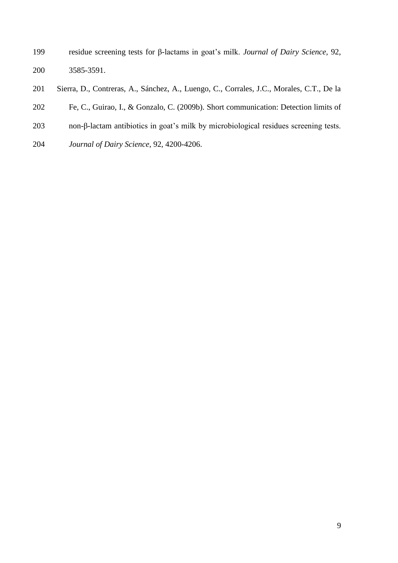- residue screening tests for β-lactams in goat's milk. *Journal of Dairy Science,* 92, 3585-3591.
- Sierra, D., Contreras, A., Sánchez, A., Luengo, C., Corrales, J.C., Morales, C.T., De la
- Fe, C., Guirao, I., & Gonzalo, C. (2009b). Short communication: Detection limits of
- non-β-lactam antibiotics in goat's milk by microbiological residues screening tests.
- *Journal of Dairy Science*, 92, 4200-4206.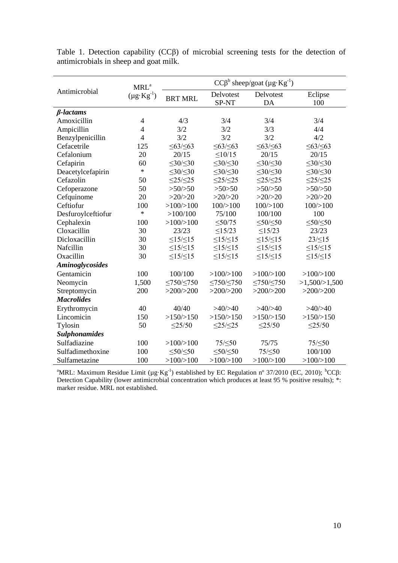|                        | MRL <sup>a</sup><br>$(\mu g \cdot Kg^{-1})$ | $CC\beta^b$ sheep/goat $(\mu g \cdot Kg^{-1})$ |                      |                      |                      |
|------------------------|---------------------------------------------|------------------------------------------------|----------------------|----------------------|----------------------|
| Antimicrobial          |                                             | <b>BRT MRL</b>                                 | Delvotest<br>SP-NT   | Delvotest<br>DA      | Eclipse<br>100       |
| $β-lactams$            |                                             |                                                |                      |                      |                      |
| Amoxicillin            | $\overline{4}$                              | 4/3                                            | 3/4                  | 3/4                  | 3/4                  |
| Ampicillin             | 4                                           | 3/2                                            | 3/2                  | 3/3                  | 4/4                  |
| Benzylpenicillin       | $\overline{4}$                              | 3/2                                            | 3/2                  | 3/2                  | 4/2                  |
| Cefacetrile            | 125                                         | $\leq 63/\leq 63$                              | $\leq 63/\leq 63$    | $\leq 63/\leq 63$    | $\leq 63/\leq 63$    |
| Cefalonium             | 20                                          | 20/15                                          | $\leq$ 10/15         | 20/15                | 20/15                |
| Cefapirin              | 60                                          | $\leq 30/\leq 30$                              | $\leq 30/\leq 30$    | $\leq 30/\leq 30$    | $\leq 30/\leq 30$    |
| Deacetylcefapirin      | $\ast$                                      | $\leq 30/\leq 30$                              | $\leq 30/\leq 30$    | $\leq 30/\leq 30$    | $\leq 30/\leq 30$    |
| Cefazolin              | 50                                          | $\leq$ 25/ $\leq$ 25                           | $\leq$ 25/ $\leq$ 25 | $\leq$ 25/ $\leq$ 25 | $\leq$ 25/ $\leq$ 25 |
| Cefoperazone           | 50                                          | >50/>50                                        | >50>50               | >50/>50              | >50/>50              |
| Cefquinome             | 20                                          | >20/>20                                        | >20/>20              | >20/>20              | >20/>20              |
| Ceftiofur              | 100                                         | >100/>100                                      | $100 \times 100$     | 100/>100             | 100/>100             |
| Desfuroylceftiofur     | $\ast$                                      | >100/100                                       | 75/100               | 100/100              | 100                  |
| Cephalexin             | 100                                         | >100/>100                                      | $\leq 50/75$         | $\leq 50/\leq 50$    | $\leq 50/\leq 50$    |
| Cloxacillin            | 30                                          | 23/23                                          | $\leq$ 15/23         | $\leq$ 15/23         | 23/23                |
| Dicloxacillin          | 30                                          | $\leq$ 15/ $\leq$ 15                           | $\leq15/\leq15$      | $\leq15/\leq15$      | $23/\leq15$          |
| Nafcillin              | 30                                          | $\leq$ 15/ $\leq$ 15                           | $\leq$ 15/ $\leq$ 15 | $\leq15/\leq15$      | $\leq15/\leq15$      |
| Oxacillin              | 30                                          | $\leq15/\leq15$                                | $\leq15/\leq15$      | $\leq15/\leq15$      | $\leq15/\leq15$      |
| <b>Aminoglycosides</b> |                                             |                                                |                      |                      |                      |
| Gentamicin             | 100                                         | 100/100                                        | >100/>100            | >100/>100            | >100/>100            |
| Neomycin               | 1,500                                       | $\leq 750/\leq 750$                            | $\leq 750/\leq 750$  | $\leq 750/\leq 750$  | >1,500/>1,500        |
| Streptomycin           | 200                                         | >200/>200                                      | >200/>200            | >200/>200            | >200/>200            |
| <b>Macrolides</b>      |                                             |                                                |                      |                      |                      |
| Erythromycin           | 40                                          | 40/40                                          | >40/>40              | >40/>40              | >40/>40              |
| Lincomicin             | 150                                         | >150/>150                                      | >150/>150            | >150/>150            | >150/>150            |
| Tylosin                | 50                                          | $\leq$ 25/50                                   | $\leq$ 25/ $\leq$ 25 | $\leq$ 25/50         | $\leq$ 25/50         |
| <b>Sulphonamides</b>   |                                             |                                                |                      |                      |                      |
| Sulfadiazine           | 100                                         | >100/>100                                      | 75/ $\leq$ 50        | 75/75                | 75/<50               |
| Sulfadimethoxine       | 100                                         | $\leq 50/\leq 50$                              | $\leq 50/\leq 50$    | 75/<50               | 100/100              |
| Sulfametazine          | 100                                         | >100/>100                                      | >100/>100            | >100/>100            | >100/>100            |

Table 1. Detection capability (CCβ) of microbial screening tests for the detection of antimicrobials in sheep and goat milk.

<sup>a</sup>MRL: Maximum Residue Limit (μg·Kg<sup>-1</sup>) established by EC Regulation n° 37/2010 (EC, 2010); <sup>b</sup>CCβ: Detection Capability (lower antimicrobial concentration which produces at least 95 % positive results); \*: marker residue. MRL not established.